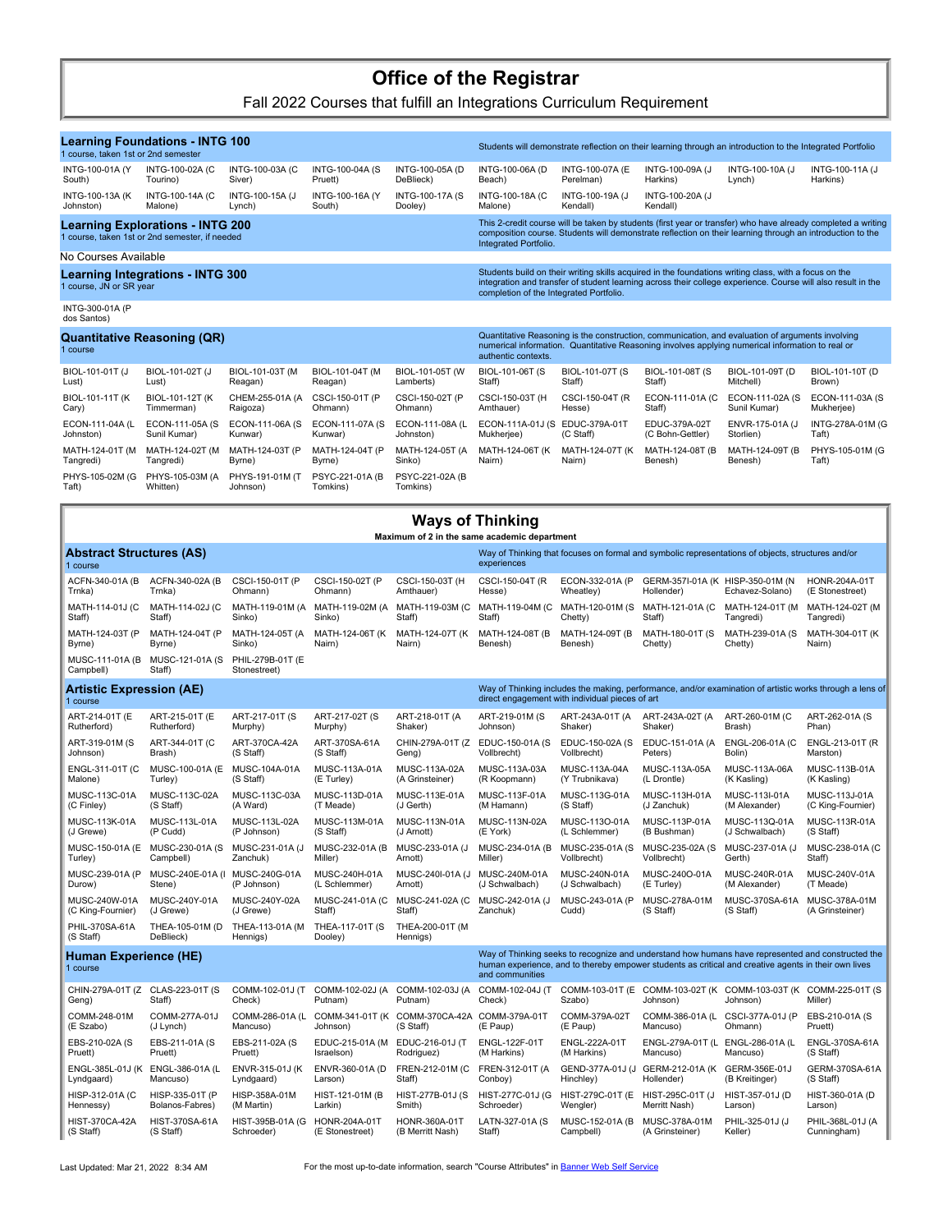## **Office of the Registrar**

Fall 2022 Courses that fulfill an Integrations Curriculum Requirement

| <b>Learning Foundations - INTG 100</b><br>1 course, taken 1st or 2nd semester |                                                     |                                     |                                  |                                                                                                                                                                                                                              |                                                                                                                                                                                                                                                                  |                                                 |                                              | Students will demonstrate reflection on their learning through an introduction to the Integrated Portfolio                                                                                                                |                                        |  |  |
|-------------------------------------------------------------------------------|-----------------------------------------------------|-------------------------------------|----------------------------------|------------------------------------------------------------------------------------------------------------------------------------------------------------------------------------------------------------------------------|------------------------------------------------------------------------------------------------------------------------------------------------------------------------------------------------------------------------------------------------------------------|-------------------------------------------------|----------------------------------------------|---------------------------------------------------------------------------------------------------------------------------------------------------------------------------------------------------------------------------|----------------------------------------|--|--|
| INTG-100-01A (Y<br>South)                                                     | INTG-100-02A (C<br>Tourino)                         | INTG-100-03A (C<br>Siver)           | INTG-100-04A (S<br>Pruett)       | INTG-100-05A (D<br>DeBlieck)                                                                                                                                                                                                 | INTG-100-06A (D<br>Beach)                                                                                                                                                                                                                                        | INTG-100-07A (E<br>Perelman)                    | INTG-100-09A (J<br>Harkins)                  | INTG-100-10A (J<br>Lynch)                                                                                                                                                                                                 | INTG-100-11A (J<br>Harkins)            |  |  |
| INTG-100-13A (K)<br>Johnston)                                                 | INTG-100-14A (C<br>Malone)                          | INTG-100-15A (J<br>Lynch)           | INTG-100-16A (Y<br>South)        | INTG-100-17A (S<br>Dooley)                                                                                                                                                                                                   | <b>INTG-100-18A (C</b><br>Malone)                                                                                                                                                                                                                                | INTG-100-19A (J<br>Kendall)                     | INTG-100-20A (J<br>Kendall)                  |                                                                                                                                                                                                                           |                                        |  |  |
| 1 course, taken 1st or 2nd semester, if needed                                | <b>Learning Explorations - INTG 200</b>             |                                     |                                  |                                                                                                                                                                                                                              | Integrated Portfolio.                                                                                                                                                                                                                                            |                                                 |                                              | This 2-credit course will be taken by students (first year or transfer) who have already completed a writing<br>composition course. Students will demonstrate reflection on their learning through an introduction to the |                                        |  |  |
| No Courses Available                                                          |                                                     |                                     |                                  |                                                                                                                                                                                                                              |                                                                                                                                                                                                                                                                  |                                                 |                                              |                                                                                                                                                                                                                           |                                        |  |  |
| <b>Learning Integrations - INTG 300</b><br>1 course, JN or SR year            |                                                     |                                     |                                  |                                                                                                                                                                                                                              | Students build on their writing skills acquired in the foundations writing class, with a focus on the<br>integration and transfer of student learning across their college experience. Course will also result in the<br>completion of the Integrated Portfolio. |                                                 |                                              |                                                                                                                                                                                                                           |                                        |  |  |
| INTG-300-01A (P<br>dos Santos)                                                |                                                     |                                     |                                  |                                                                                                                                                                                                                              |                                                                                                                                                                                                                                                                  |                                                 |                                              |                                                                                                                                                                                                                           |                                        |  |  |
| <b>Quantitative Reasoning (QR)</b><br>1 course                                |                                                     |                                     |                                  |                                                                                                                                                                                                                              | Quantitative Reasoning is the construction, communication, and evaluation of arguments involving<br>numerical information. Quantitative Reasoning involves applying numerical information to real or<br>authentic contexts.                                      |                                                 |                                              |                                                                                                                                                                                                                           |                                        |  |  |
| BIOL-101-01T (J<br>Lust)                                                      | BIOL-101-02T (J<br>Lust)                            | BIOL-101-03T (M<br>Reagan)          | BIOL-101-04T (M<br>Reagan)       | BIOL-101-05T (W<br>Lamberts)                                                                                                                                                                                                 | BIOL-101-06T (S<br>Staff)                                                                                                                                                                                                                                        | BIOL-101-07T (S<br>Staff)                       | BIOL-101-08T (S<br>Staff)                    | BIOL-101-09T (D<br>Mitchell)                                                                                                                                                                                              | BIOL-101-10T (D<br>Brown)              |  |  |
| BIOL-101-11T (K)<br>Cary)                                                     | BIOL-101-12T (K<br>Timmerman)                       | CHEM-255-01A (A<br>Raigoza)         | CSCI-150-01T (P<br>Ohmann)       | CSCI-150-02T (P<br>Ohmann)                                                                                                                                                                                                   | CSCI-150-03T (H<br>Amthauer)                                                                                                                                                                                                                                     | CSCI-150-04T (R<br>Hesse)                       | ECON-111-01A (C<br>Staff)                    | ECON-111-02A (S<br>Sunil Kumar)                                                                                                                                                                                           | ECON-111-03A (S<br>Mukherjee)          |  |  |
| ECON-111-04A (L<br>Johnston)                                                  | ECON-111-05A (S<br>Sunil Kumar)                     | ECON-111-06A (S<br>Kunwar)          | ECON-111-07A (S<br>Kunwar)       | ECON-111-08A (L<br>Johnston)                                                                                                                                                                                                 | ECON-111A-01J (S EDUC-379A-01T<br>Mukherjee)                                                                                                                                                                                                                     | (C Staff)                                       | EDUC-379A-02T<br>(C Bohn-Gettler)            | ENVR-175-01A (J<br>Storlien)                                                                                                                                                                                              | INTG-278A-01M (G<br>Taft)              |  |  |
| MATH-124-01T (M<br>Tangredi)                                                  | MATH-124-02T (M<br>Tangredi)                        | MATH-124-03T (P<br>Byrne)           | MATH-124-04T (P<br>Byrne)        | MATH-124-05T (A<br>Sinko)                                                                                                                                                                                                    | MATH-124-06T (K<br>Nairn)                                                                                                                                                                                                                                        | MATH-124-07T (K<br>Nairn)                       | MATH-124-08T (B<br>Benesh)                   | MATH-124-09T (B<br>Benesh)                                                                                                                                                                                                | PHYS-105-01M (G<br>Taft)               |  |  |
| PHYS-105-02M (G<br>Taft)                                                      | PHYS-105-03M (A<br>Whitten)                         | PHYS-191-01M (T<br>Johnson)         | PSYC-221-01A (B<br>Tomkins)      | PSYC-221-02A (B<br>Tomkins)                                                                                                                                                                                                  |                                                                                                                                                                                                                                                                  |                                                 |                                              |                                                                                                                                                                                                                           |                                        |  |  |
|                                                                               |                                                     |                                     |                                  | <b>Ways of Thinking</b>                                                                                                                                                                                                      |                                                                                                                                                                                                                                                                  |                                                 |                                              |                                                                                                                                                                                                                           |                                        |  |  |
| Abstract Structures (AS)                                                      |                                                     |                                     |                                  |                                                                                                                                                                                                                              | Maximum of 2 in the same academic department                                                                                                                                                                                                                     |                                                 |                                              | Way of Thinking that focuses on formal and symbolic representations of objects, structures and/or                                                                                                                         |                                        |  |  |
| 1 course<br>ACFN-340-01A (B                                                   | ACFN-340-02A (B                                     | CSCI-150-01T (P                     | CSCI-150-02T (P                  | CSCI-150-03T (H                                                                                                                                                                                                              | experiences<br>CSCI-150-04T (R                                                                                                                                                                                                                                   | ECON-332-01A (P                                 | GERM-357I-01A (K HISP-350-01M (N             |                                                                                                                                                                                                                           | HONR-204A-01T                          |  |  |
| Trnka)<br>MATH-114-01J (C                                                     | Trnka)<br>MATH-114-02J (C                           | Ohmann)<br>MATH-119-01M (A          | Ohmann)<br>MATH-119-02M (A       | Amthauer)<br>MATH-119-03M (C                                                                                                                                                                                                 | Hesse)<br>MATH-119-04M (C                                                                                                                                                                                                                                        | Wheatley)<br>MATH-120-01M (S                    | Hollender)<br>MATH-121-01A (C                | Echavez-Solano)<br>MATH-124-01T (M                                                                                                                                                                                        | (E Stonestreet)<br>MATH-124-02T (M     |  |  |
| Staff)<br>MATH-124-03T (P                                                     | Staff)<br>MATH-124-04T (P                           | Sinko)<br>MATH-124-05T (A<br>Sinko) | Sinko)<br>MATH-124-06T (K        | Staff)<br>MATH-124-07T (K<br>Nairn)                                                                                                                                                                                          | Staff)<br>MATH-124-08T (B<br>Benesh)                                                                                                                                                                                                                             | Chetty)<br>MATH-124-09T (B<br>Benesh)           | Staff)<br>MATH-180-01T (S<br>Chetty)         | Tangredi)<br>MATH-239-01A (S<br>Chetty)                                                                                                                                                                                   | Tangredi)<br>MATH-304-01T (K<br>Nairn) |  |  |
| Byrne)<br>Campbell)                                                           | Byrne)<br>MUSC-111-01A (B MUSC-121-01A (S<br>Staff) | PHIL-279B-01T (E<br>Stonestreet)    | Nairn)                           |                                                                                                                                                                                                                              |                                                                                                                                                                                                                                                                  |                                                 |                                              |                                                                                                                                                                                                                           |                                        |  |  |
| Artistic Expression (AE)<br>1 course                                          |                                                     |                                     |                                  |                                                                                                                                                                                                                              |                                                                                                                                                                                                                                                                  | direct engagement with individual pieces of art |                                              | Way of Thinking includes the making, performance, and/or examination of artistic works through a lens of                                                                                                                  |                                        |  |  |
| ART-214-01T (E<br>Rutherford)                                                 | ART-215-01T (E<br>Rutherford)                       | ART-217-01T (S<br>Murphy)           | ART-217-02T (S<br>Murphy)        | ART-218-01T (A<br>Shaker)                                                                                                                                                                                                    | ART-219-01M (S<br>Johnson)                                                                                                                                                                                                                                       | ART-243A-01T (A<br>Shaker)                      | ART-243A-02T (A<br>Shaker)                   | ART-260-01M (C<br>Brash)                                                                                                                                                                                                  | ART-262-01A (S<br>Phan)                |  |  |
| ART-319-01M (S<br>Johnson)                                                    | ART-344-01T (C<br>Brash)                            | ART-370CA-42A<br>(S Staff)          | ART-370SA-61A<br>(S Staff)       | CHIN-279A-01T (Z<br>Geng)                                                                                                                                                                                                    | EDUC-150-01A (S<br>Vollbrecht)                                                                                                                                                                                                                                   | EDUC-150-02A (S<br>Vollbrecht)                  | EDUC-151-01A (A<br>Peters)                   | ENGL-206-01A (C<br>Bolin)                                                                                                                                                                                                 | ENGL-213-01T (R<br>Marston)            |  |  |
| ENGL-311-01T (C<br>Malone)                                                    | MUSC-100-01A (E<br>Turley)                          | MUSC-104A-01A<br>(S Staff)          | MUSC-113A-01A<br>(E Turley)      | MUSC-113A-02A<br>(A Grinsteiner)                                                                                                                                                                                             | MUSC-113A-03A<br>(R Koopmann)                                                                                                                                                                                                                                    | MUSC-113A-04A<br>(Y Trubnikava)                 | MUSC-113A-05A<br>(L Drontle)                 | MUSC-113A-06A<br>(K Kasling)                                                                                                                                                                                              | MUSC-113B-01A<br>(K Kasling)           |  |  |
| MUSC-113C-01A<br>(C Finley)                                                   | MUSC-113C-02A<br>(S Staff)                          | MUSC-113C-03A<br>(A Ward)           | MUSC-113D-01A<br>(T Meade)       | MUSC-113E-01A<br>(J Gerth)                                                                                                                                                                                                   | MUSC-113F-01A<br>(M Hamann)                                                                                                                                                                                                                                      | MUSC-113G-01A<br>(S Staff)                      | MUSC-113H-01A<br>(J Zanchuk)                 | MUSC-113I-01A<br>(M Alexander)                                                                                                                                                                                            | MUSC-113J-01A<br>(C King-Fournier)     |  |  |
| MUSC-113K-01A<br>(J Grewe)                                                    | MUSC-113L-01A<br>(P Cudd)                           | MUSC-113L-02A<br>(P Johnson)        | MUSC-113M-01A<br>(S Staff)       | MUSC-113N-01A<br>(J Arnott)                                                                                                                                                                                                  | MUSC-113N-02A<br>(E York)                                                                                                                                                                                                                                        | MUSC-113O-01A<br>(L Schlemmer)                  | MUSC-113P-01A<br>(B Bushman)                 | MUSC-113Q-01A<br>(J Schwalbach)                                                                                                                                                                                           | MUSC-113R-01A<br>(S Staff)             |  |  |
| Turley)                                                                       | MUSC-150-01A (E MUSC-230-01A (S<br>Campbell)        | MUSC-231-01A (J<br>Zanchuk)         | MUSC-232-01A (B<br>Miller)       | MUSC-233-01A (J<br>Arnott)                                                                                                                                                                                                   | MUSC-234-01A (B<br>Miller)                                                                                                                                                                                                                                       | MUSC-235-01A (S<br>Vollbrecht)                  | MUSC-235-02A (S<br>Vollbrecht)               | MUSC-237-01A (J<br>Gerth)                                                                                                                                                                                                 | MUSC-238-01A (C<br>Staff)              |  |  |
| MUSC-239-01A (P<br>Durow)                                                     | MUSC-240E-01A (I MUSC-240G-01A<br>Stene)            | (P Johnson)                         | MUSC-240H-01A<br>(L Schlemmer)   | MUSC-240I-01A (J<br>Arnott)                                                                                                                                                                                                  | MUSC-240M-01A<br>(J Schwalbach)                                                                                                                                                                                                                                  | MUSC-240N-01A<br>(J Schwalbach)                 | MUSC-240O-01A<br>(E Turley)                  | MUSC-240R-01A<br>(M Alexander)                                                                                                                                                                                            | MUSC-240V-01A<br>(T Meade)             |  |  |
| MUSC-240W-01A<br>(C King-Fournier)                                            | MUSC-240Y-01A<br>(J Grewe)                          | MUSC-240Y-02A<br>(J Grewe)          | MUSC-241-01A (C<br>Staff)        | MUSC-241-02A (C<br>Staff)                                                                                                                                                                                                    | MUSC-242-01A (J<br>Zanchuk)                                                                                                                                                                                                                                      | MUSC-243-01A (P<br>Cudd)                        | MUSC-278A-01M<br>(S Staff)                   | MUSC-370SA-61A MUSC-378A-01M<br>(S Staff)                                                                                                                                                                                 | (A Grinsteiner)                        |  |  |
| PHIL-370SA-61A<br>(S Staff)                                                   | THEA-105-01M (D<br>DeBlieck)                        | THEA-113-01A (M<br>Hennigs)         | THEA-117-01T (S<br>Dooley)       | THEA-200-01T (M<br>Hennigs)                                                                                                                                                                                                  |                                                                                                                                                                                                                                                                  |                                                 |                                              |                                                                                                                                                                                                                           |                                        |  |  |
| <b>Human Experience (HE)</b><br>1 course                                      |                                                     |                                     |                                  | Way of Thinking seeks to recognize and understand how humans have represented and constructed the<br>human experience, and to thereby empower students as critical and creative agents in their own lives<br>and communities |                                                                                                                                                                                                                                                                  |                                                 |                                              |                                                                                                                                                                                                                           |                                        |  |  |
| Geng)                                                                         | CHIN-279A-01T (Z CLAS-223-01T (S<br>Staff)          | COMM-102-01J (T<br>Check)           | COMM-102-02J (A<br>Putnam)       | COMM-102-03J (A<br>Putnam)                                                                                                                                                                                                   | COMM-102-04J (T<br>Check)                                                                                                                                                                                                                                        | COMM-103-01T (E<br>Szabo)                       | Johnson)                                     | COMM-103-02T (K COMM-103-03T (K COMM-225-01T (S<br>Johnson)                                                                                                                                                               | Miller)                                |  |  |
| COMM-248-01M<br>(E Szabo)                                                     | COMM-277A-01J<br>(J Lynch)                          | COMM-286-01A (L<br>Mancuso)         | Johnson)                         | COMM-341-01T (K COMM-370CA-42A COMM-379A-01T<br>(S Staff)                                                                                                                                                                    | (E Paup)                                                                                                                                                                                                                                                         | COMM-379A-02T<br>(E Paup)                       | COMM-386-01A (L<br>Mancuso)                  | CSCI-377A-01J (P<br>Ohmann)                                                                                                                                                                                               | EBS-210-01A (S<br>Pruett)              |  |  |
| EBS-210-02A (S<br>Pruett)                                                     | EBS-211-01A (S<br>Pruett)                           | EBS-211-02A (S<br>Pruett)           | EDUC-215-01A (M<br>Israelson)    | EDUC-216-01J (T<br>Rodriguez)                                                                                                                                                                                                | ENGL-122F-01T<br>(M Harkins)                                                                                                                                                                                                                                     | ENGL-222A-01T<br>(M Harkins)                    | ENGL-279A-01T (L ENGL-286-01A (L<br>Mancuso) | Mancuso)                                                                                                                                                                                                                  | ENGL-370SA-61A<br>(S Staff)            |  |  |
| Lyndgaard)                                                                    | ENGL-385L-01J (K ENGL-386-01A (L<br>Mancuso)        | ENVR-315-01J (K<br>Lyndgaard)       | ENVR-360-01A (D<br>Larson)       | FREN-212-01M (C<br>Staff)                                                                                                                                                                                                    | FREN-312-01T (A<br>Conboy)                                                                                                                                                                                                                                       | GEND-377A-01J (J<br>Hinchley)                   | GERM-212-01A (K GERM-356E-01J<br>Hollender)  | (B Kreitinger)                                                                                                                                                                                                            | GERM-370SA-61A<br>(S Staff)            |  |  |
| HISP-312-01A (C<br>Hennessy)                                                  | HISP-335-01T (P<br>Bolanos-Fabres)                  | HISP-358A-01M<br>(M Martin)         | HIST-121-01M (B<br>Larkin)       | HIST-277B-01J (S<br>Smith)                                                                                                                                                                                                   | HIST-277C-01J (G<br>Schroeder)                                                                                                                                                                                                                                   | HIST-279C-01T (E<br>Wengler)                    | HIST-295C-01T (J<br>Merritt Nash)            | HIST-357-01J (D<br>Larson)                                                                                                                                                                                                | HIST-360-01A (D<br>Larson)             |  |  |
| <b>HIST-370CA-42A</b><br>(S Staff)                                            | HIST-370SA-61A<br>(S Staff)                         | HIST-395B-01A (G<br>Schroeder)      | HONR-204A-01T<br>(E Stonestreet) | HONR-360A-01T<br>(B Merritt Nash)                                                                                                                                                                                            | LATN-327-01A (S<br>Staff)                                                                                                                                                                                                                                        | MUSC-152-01A (B<br>Campbell)                    | MUSC-378A-01M<br>(A Grinsteiner)             | PHIL-325-01J (J<br>Keller)                                                                                                                                                                                                | PHIL-368L-01J (A<br>Cunningham)        |  |  |

Last Updated: Mar 21, 2022 8:34 AM For the most up-to-date information, search "Course Attributes" in [Banner Web Self Service](http://www.csbsju.edu/it-services/banner)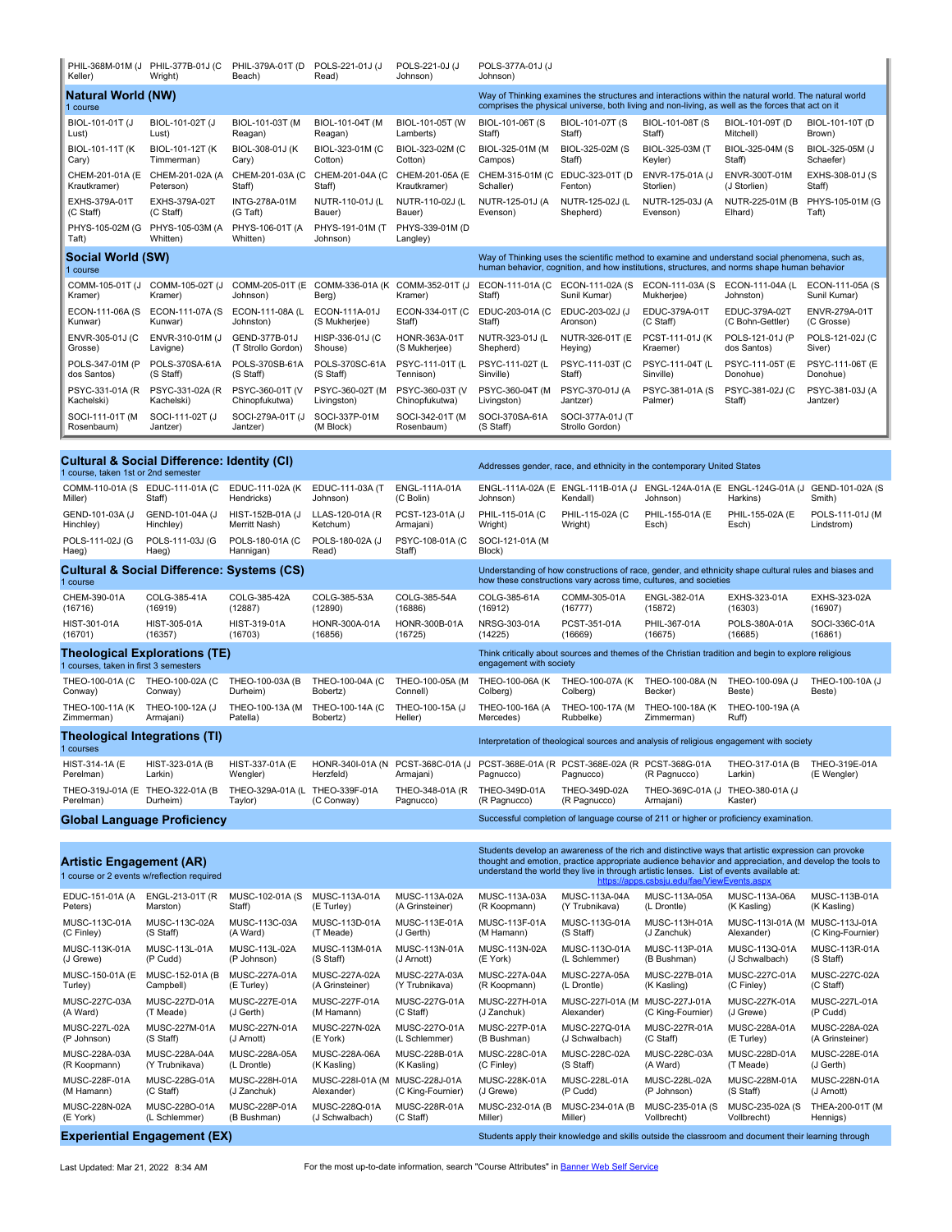| Keller)                                                                                                                                      | PHIL-368M-01M (J PHIL-377B-01J (C<br>Wright) | PHIL-379A-01T (D<br>Beach)       | POLS-221-01J (J<br>Read)       | POLS-221-0J (J<br>Johnson)                                                                                                                                                                                                                                                                               | POLS-377A-01J (J<br>Johnson)                                                                                                                                                                              |                                                                                                              |                                                              |                                   |                              |  |  |
|----------------------------------------------------------------------------------------------------------------------------------------------|----------------------------------------------|----------------------------------|--------------------------------|----------------------------------------------------------------------------------------------------------------------------------------------------------------------------------------------------------------------------------------------------------------------------------------------------------|-----------------------------------------------------------------------------------------------------------------------------------------------------------------------------------------------------------|--------------------------------------------------------------------------------------------------------------|--------------------------------------------------------------|-----------------------------------|------------------------------|--|--|
| <b>Natural World (NW)</b><br>1 course                                                                                                        |                                              |                                  |                                |                                                                                                                                                                                                                                                                                                          | Way of Thinking examines the structures and interactions within the natural world. The natural world<br>comprises the physical universe, both living and non-living, as well as the forces that act on it |                                                                                                              |                                                              |                                   |                              |  |  |
| BIOL-101-01T (J                                                                                                                              | BIOL-101-02T (J                              | BIOL-101-03T (M                  | BIOL-101-04T (M                | BIOL-101-05T (W                                                                                                                                                                                                                                                                                          | BIOL-101-06T (S                                                                                                                                                                                           | BIOL-101-07T (S                                                                                              | BIOL-101-08T (S                                              | BIOL-101-09T (D                   | BIOL-101-10T (D              |  |  |
| Lust)                                                                                                                                        | Lust)                                        | Reagan)                          | Reagan)                        | Lamberts)                                                                                                                                                                                                                                                                                                | Staff)                                                                                                                                                                                                    | Staff)                                                                                                       | Staff)                                                       | Mitchell)                         | Brown)                       |  |  |
| BIOL-101-11T (K)                                                                                                                             | BIOL-101-12T (K)                             | BIOL-308-01J (K                  | BIOL-323-01M (C                | BIOL-323-02M (C                                                                                                                                                                                                                                                                                          | BIOL-325-01M (M                                                                                                                                                                                           | BIOL-325-02M (S                                                                                              | BIOL-325-03M (T                                              | BIOL-325-04M (S                   | BIOL-325-05M (J              |  |  |
| Cary)                                                                                                                                        | Timmerman)                                   | Cary)                            | Cotton)                        | Cotton)                                                                                                                                                                                                                                                                                                  | Campos)                                                                                                                                                                                                   | Staff)                                                                                                       | Keyler)                                                      | Staff)                            | Schaefer)                    |  |  |
| CHEM-201-01A (E                                                                                                                              | CHEM-201-02A (A                              | CHEM-201-03A (C                  | CHEM-201-04A (C                | CHEM-201-05A (E                                                                                                                                                                                                                                                                                          | CHEM-315-01M (C EDUC-323-01T (D                                                                                                                                                                           | Fenton)                                                                                                      | ENVR-175-01A (J                                              | ENVR-300T-01M                     | EXHS-308-01J (S              |  |  |
| Krautkramer)                                                                                                                                 | Peterson)                                    | Staff)                           | Staff)                         | Krautkramer)                                                                                                                                                                                                                                                                                             | Schaller)                                                                                                                                                                                                 |                                                                                                              | Storlien)                                                    | (J Storlien)                      | Staff)                       |  |  |
| EXHS-379A-01T                                                                                                                                | EXHS-379A-02T                                | <b>INTG-278A-01M</b>             | NUTR-110-01J (L                | NUTR-110-02J (L                                                                                                                                                                                                                                                                                          | NUTR-125-01J (A                                                                                                                                                                                           | NUTR-125-02J (L                                                                                              | NUTR-125-03J (A                                              | NUTR-225-01M (B                   | PHYS-105-01M (G              |  |  |
| (C Staff)                                                                                                                                    | (C Staff)                                    | (G Taft)                         | Bauer)                         | Bauer)                                                                                                                                                                                                                                                                                                   | Evenson)                                                                                                                                                                                                  | Shepherd)                                                                                                    | Evenson)                                                     | Elhard)                           | Taft)                        |  |  |
| Taft)                                                                                                                                        | PHYS-105-02M (G PHYS-105-03M (A<br>Whitten)  | PHYS-106-01T (A<br>Whitten)      | PHYS-191-01M (T)<br>Johnson)   | PHYS-339-01M (D<br>Langley)                                                                                                                                                                                                                                                                              |                                                                                                                                                                                                           |                                                                                                              |                                                              |                                   |                              |  |  |
| Social World (SW)<br>1 course                                                                                                                |                                              |                                  |                                |                                                                                                                                                                                                                                                                                                          | Way of Thinking uses the scientific method to examine and understand social phenomena, such as,<br>human behavior, cognition, and how institutions, structures, and norms shape human behavior            |                                                                                                              |                                                              |                                   |                              |  |  |
| COMM-105-01T (J                                                                                                                              | COMM-105-02T (J                              | COMM-205-01T (E                  | COMM-336-01A (K)               | COMM-352-01T (J                                                                                                                                                                                                                                                                                          | ECON-111-01A (C ECON-111-02A (S                                                                                                                                                                           | Sunil Kumar)                                                                                                 | ECON-111-03A (S)                                             | ECON-111-04A (L                   | ECON-111-05A (S              |  |  |
| Kramer)                                                                                                                                      | Kramer)                                      | Johnson)                         | Berg)                          | Kramer)                                                                                                                                                                                                                                                                                                  | Staff)                                                                                                                                                                                                    |                                                                                                              | Mukherjee)                                                   | Johnston)                         | Sunil Kumar)                 |  |  |
| ECON-111-06A (S                                                                                                                              | ECON-111-07A (S                              | ECON-111-08A (L                  | ECON-111A-01J                  | ECON-334-01T (C                                                                                                                                                                                                                                                                                          | EDUC-203-01A (C                                                                                                                                                                                           | EDUC-203-02J (J                                                                                              | EDUC-379A-01T                                                | EDUC-379A-02T                     | ENVR-279A-01T                |  |  |
| Kunwar)                                                                                                                                      | Kunwar)                                      | Johnston)                        | (S Mukherjee)                  | Staff)                                                                                                                                                                                                                                                                                                   | Staff)                                                                                                                                                                                                    | Aronson)                                                                                                     | (C Staff)                                                    | (C Bohn-Gettler)                  | (C Grosse)                   |  |  |
| ENVR-305-01J (C                                                                                                                              | ENVR-310-01M (J                              | GEND-377B-01J                    | HISP-336-01J (C                | HONR-363A-01T                                                                                                                                                                                                                                                                                            | NUTR-323-01J (L                                                                                                                                                                                           | NUTR-326-01T (E                                                                                              | PCST-111-01J (K                                              | POLS-121-01J (P                   | POLS-121-02J (C              |  |  |
| Grosse)                                                                                                                                      | Lavigne)                                     | (T Strollo Gordon)               | Shouse)                        | (S Mukherjee)                                                                                                                                                                                                                                                                                            | Shepherd)                                                                                                                                                                                                 | Heying)                                                                                                      | Kraemer)                                                     | dos Santos)                       | Siver)                       |  |  |
| POLS-347-01M (P                                                                                                                              | POLS-370SA-61A                               | POLS-370SB-61A                   | POLS-370SC-61A                 | PSYC-111-01T (L                                                                                                                                                                                                                                                                                          | PSYC-111-02T (L                                                                                                                                                                                           | PSYC-111-03T (C                                                                                              | PSYC-111-04T (L                                              | PSYC-111-05T (E                   | PSYC-111-06T (E              |  |  |
| dos Santos)                                                                                                                                  | (S Staff)                                    | (S Staff)                        | (S Staff)                      | Tennison)                                                                                                                                                                                                                                                                                                | Sinville)                                                                                                                                                                                                 | Staff)                                                                                                       | Sinville)                                                    | Donohue)                          | Donohue)                     |  |  |
| PSYC-331-01A (R                                                                                                                              | PSYC-331-02A (R                              | PSYC-360-01T (V                  | PSYC-360-02T (M                | PSYC-360-03T (V                                                                                                                                                                                                                                                                                          | PSYC-360-04T (M                                                                                                                                                                                           | PSYC-370-01J (A                                                                                              | PSYC-381-01A (S                                              | PSYC-381-02J (C                   | PSYC-381-03J (A              |  |  |
| Kachelski)                                                                                                                                   | Kachelski)                                   | Chinopfukutwa)                   | Livingston)                    | Chinopfukutwa)                                                                                                                                                                                                                                                                                           | Livingston)                                                                                                                                                                                               | Jantzer)                                                                                                     | Palmer)                                                      | Staff)                            | Jantzer)                     |  |  |
| SOCI-111-01T (M<br>Rosenbaum)                                                                                                                | SOCI-111-02T (J<br>Jantzer)                  | SOCI-279A-01T (J<br>Jantzer)     | SOCI-337P-01M<br>(M Block)     | SOCI-342-01T (M<br>Rosenbaum)                                                                                                                                                                                                                                                                            | SOCI-370SA-61A<br>(S Staff)                                                                                                                                                                               | SOCI-377A-01J (T<br>Strollo Gordon)                                                                          |                                                              |                                   |                              |  |  |
| <b>Cultural &amp; Social Difference: Identity (CI)</b>                                                                                       |                                              |                                  |                                |                                                                                                                                                                                                                                                                                                          |                                                                                                                                                                                                           |                                                                                                              |                                                              |                                   |                              |  |  |
| 1 course, taken 1st or 2nd semester<br>COMM-110-01A (S EDUC-111-01A (C                                                                       |                                              | EDUC-111-02A (K                  | EDUC-111-03A (T                | ENGL-111A-01A                                                                                                                                                                                                                                                                                            |                                                                                                                                                                                                           | Addresses gender, race, and ethnicity in the contemporary United States<br>ENGL-111A-02A (E ENGL-111B-01A (J |                                                              | ENGL-124A-01A (E ENGL-124G-01A (J | GEND-101-02A (S              |  |  |
| Miller)                                                                                                                                      | Staff)                                       | Hendricks)                       | Johnson)                       | (C Bolin)                                                                                                                                                                                                                                                                                                | Johnson)                                                                                                                                                                                                  | Kendall)                                                                                                     | Johnson)                                                     | Harkins)                          | Smith)                       |  |  |
| GEND-101-03A (J                                                                                                                              | GEND-101-04A (J                              | HIST-152B-01A (J                 | LLAS-120-01A (R                | PCST-123-01A (J                                                                                                                                                                                                                                                                                          | PHIL-115-01A (C                                                                                                                                                                                           | PHIL-115-02A (C                                                                                              | PHIL-155-01A (E                                              | PHIL-155-02A (E                   | POLS-111-01J (M              |  |  |
| Hinchley)<br>POLS-111-02J (G                                                                                                                 | Hinchley)<br>POLS-111-03J (G                 | Merritt Nash)<br>POLS-180-01A (C | Ketchum)<br>POLS-180-02A (J    | Armajani)<br>PSYC-108-01A (C                                                                                                                                                                                                                                                                             | Wright)<br>SOCI-121-01A (M                                                                                                                                                                                | Wright)                                                                                                      | Esch)                                                        | Esch)                             | Lindstrom)                   |  |  |
| Haeg)                                                                                                                                        | Haeg)                                        | Hannigan)                        | Read)                          | Staff)                                                                                                                                                                                                                                                                                                   | Block)<br>Understanding of how constructions of race, gender, and ethnicity shape cultural rules and biases and                                                                                           |                                                                                                              |                                                              |                                   |                              |  |  |
| Cultural & Social Difference: Systems (CS)<br>1 course                                                                                       |                                              |                                  |                                |                                                                                                                                                                                                                                                                                                          |                                                                                                                                                                                                           | how these constructions vary across time, cultures, and societies                                            |                                                              |                                   |                              |  |  |
| CHEM-390-01A                                                                                                                                 | COLG-385-41A                                 | COLG-385-42A                     | COLG-385-53A                   | COLG-385-54A                                                                                                                                                                                                                                                                                             | COLG-385-61A                                                                                                                                                                                              | COMM-305-01A                                                                                                 | ENGL-382-01A                                                 | EXHS-323-01A                      | EXHS-323-02A                 |  |  |
| (16716)                                                                                                                                      | (16919)                                      | (12887)                          | (12890)                        | (16886)                                                                                                                                                                                                                                                                                                  | (16912)                                                                                                                                                                                                   | (16777)                                                                                                      | (15872)                                                      | (16303)                           | (16907)                      |  |  |
| HIST-301-01A                                                                                                                                 | HIST-305-01A                                 | HIST-319-01A                     | HONR-300A-01A                  | HONR-300B-01A                                                                                                                                                                                                                                                                                            | NRSG-303-01A                                                                                                                                                                                              | PCST-351-01A                                                                                                 | PHIL-367-01A                                                 | POLS-380A-01A                     | SOCI-336C-01A                |  |  |
| (16701)                                                                                                                                      | (16357)                                      | (16703)                          | (16856)                        | (16725)                                                                                                                                                                                                                                                                                                  | (14225)                                                                                                                                                                                                   | (16669)                                                                                                      | (16675)                                                      | (16685)                           | (16861)                      |  |  |
| Theological Explorations (TE)<br>1 courses, taken in first 3 semesters                                                                       |                                              |                                  |                                |                                                                                                                                                                                                                                                                                                          | Think critically about sources and themes of the Christian tradition and begin to explore religious<br>engagement with society                                                                            |                                                                                                              |                                                              |                                   |                              |  |  |
| THEO-100-01A (C                                                                                                                              | THEO-100-02A (C                              | THEO-100-03A (B                  | THEO-100-04A (C                | THEO-100-05A (M                                                                                                                                                                                                                                                                                          | THEO-100-06A (K                                                                                                                                                                                           | THEO-100-07A (K                                                                                              | THEO-100-08A (N                                              | THEO-100-09A (J                   | THEO-100-10A (J              |  |  |
| Conway)                                                                                                                                      | Conway)                                      | Durheim)                         | Bobertz)                       | Connell)                                                                                                                                                                                                                                                                                                 | Colberg)                                                                                                                                                                                                  | Colberg)                                                                                                     | Becker)                                                      | Beste)                            | Beste)                       |  |  |
| THEO-100-11A (K                                                                                                                              | THEO-100-12A (J                              | THEO-100-13A (M                  | THEO-100-14A (C                | THEO-100-15A (J                                                                                                                                                                                                                                                                                          | THEO-100-16A (A                                                                                                                                                                                           | THEO-100-17A (M                                                                                              | THEO-100-18A (K                                              | THEO-100-19A (A                   |                              |  |  |
| Zimmerman)                                                                                                                                   | Armajani)                                    | Patella)                         | Bobertz)                       | Heller)                                                                                                                                                                                                                                                                                                  | Mercedes)                                                                                                                                                                                                 | Rubbelke)                                                                                                    | Zimmerman)                                                   | Ruff)                             |                              |  |  |
| <b>Theological Integrations (TI)</b><br>Interpretation of theological sources and analysis of religious engagement with society<br>1 courses |                                              |                                  |                                |                                                                                                                                                                                                                                                                                                          |                                                                                                                                                                                                           |                                                                                                              |                                                              |                                   |                              |  |  |
| HIST-314-1A (E<br>Perelman)                                                                                                                  | HIST-323-01A (B<br>Larkin)                   | HIST-337-01A (E<br>Wengler)      | Herzfeld)                      | Armajani)                                                                                                                                                                                                                                                                                                | Pagnucco)                                                                                                                                                                                                 | HONR-340I-01A (N PCST-368C-01A (J PCST-368E-01A (R PCST-368E-02A (R PCST-368G-01A<br>Pagnucco)               | (R Pagnucco)                                                 | THEO-317-01A (B<br>Larkin)        | THEO-319E-01A<br>(E Wengler) |  |  |
| THEO-319J-01A (E<br>Perelman)                                                                                                                | THEO-322-01A (B<br>Durheim)                  | THEO-329A-01A (L<br>Taylor)      | THEO-339F-01A<br>(C Conway)    | THEO-348-01A (R<br>Pagnucco)                                                                                                                                                                                                                                                                             | THEO-349D-01A<br>(R Pagnucco)                                                                                                                                                                             | THEO-349D-02A<br>(R Pagnucco)                                                                                | THEO-369C-01A (J THEO-380-01A (J<br>Armajani)                | Kaster)                           |                              |  |  |
| <b>Global Language Proficiency</b>                                                                                                           |                                              |                                  |                                |                                                                                                                                                                                                                                                                                                          |                                                                                                                                                                                                           | Successful completion of language course of 211 or higher or proficiency examination.                        |                                                              |                                   |                              |  |  |
| Artistic Engagement (AR)<br>1 course or 2 events w/reflection required                                                                       |                                              |                                  |                                | Students develop an awareness of the rich and distinctive ways that artistic expression can provoke<br>thought and emotion, practice appropriate audience behavior and appreciation, and develop the tools to<br>understand the world they live in through artistic lenses. List of events available at: |                                                                                                                                                                                                           |                                                                                                              |                                                              |                                   |                              |  |  |
| EDUC-151-01A (A                                                                                                                              | ENGL-213-01T (R                              | MUSC-102-01A (S                  | MUSC-113A-01A                  | MUSC-113A-02A                                                                                                                                                                                                                                                                                            | MUSC-113A-03A                                                                                                                                                                                             | MUSC-113A-04A                                                                                                | https://apps.csbsju.edu/fae/ViewEvents.aspx<br>MUSC-113A-05A | MUSC-113A-06A                     | MUSC-113B-01A                |  |  |
| Peters)                                                                                                                                      | Marston)                                     | Staff)                           | (E Turley)                     | (A Grinsteiner)                                                                                                                                                                                                                                                                                          | (R Koopmann)                                                                                                                                                                                              | (Y Trubnikava)                                                                                               | (L Drontle)                                                  | (K Kasling)                       | (K Kasling)                  |  |  |
| MUSC-113C-01A                                                                                                                                | MUSC-113C-02A                                | MUSC-113C-03A                    | MUSC-113D-01A                  | MUSC-113E-01A                                                                                                                                                                                                                                                                                            | MUSC-113F-01A                                                                                                                                                                                             | MUSC-113G-01A                                                                                                | MUSC-113H-01A                                                | MUSC-113I-01A (M                  | MUSC-113J-01A                |  |  |
| (C Finley)                                                                                                                                   | (S Staff)                                    | (A Ward)                         | (T Meade)                      | (J Gerth)                                                                                                                                                                                                                                                                                                | (M Hamann)                                                                                                                                                                                                | (S Staff)                                                                                                    | (J Zanchuk)                                                  | Alexander)                        | (C King-Fournier)            |  |  |
| MUSC-113K-01A                                                                                                                                | MUSC-113L-01A                                | MUSC-113L-02A                    | MUSC-113M-01A                  | MUSC-113N-01A                                                                                                                                                                                                                                                                                            | MUSC-113N-02A                                                                                                                                                                                             | MUSC-113O-01A                                                                                                | MUSC-113P-01A                                                | MUSC-113Q-01A                     | MUSC-113R-01A                |  |  |
| (J Grewe)                                                                                                                                    | (P Cudd)                                     | (P Johnson)                      | (S Staff)                      | (J Arnott)                                                                                                                                                                                                                                                                                               | (E York)                                                                                                                                                                                                  | (L Schlemmer)                                                                                                | (B Bushman)                                                  | (J Schwalbach)                    | (S Staff)                    |  |  |
| MUSC-150-01A (E                                                                                                                              | MUSC-152-01A (B                              | MUSC-227A-01A                    | MUSC-227A-02A                  | MUSC-227A-03A                                                                                                                                                                                                                                                                                            | MUSC-227A-04A                                                                                                                                                                                             | <b>MUSC-227A-05A</b>                                                                                         | MUSC-227B-01A                                                | MUSC-227C-01A                     | MUSC-227C-02A                |  |  |
| Turley)                                                                                                                                      | Campbell)                                    | (E Turley)                       | (A Grinsteiner)                | (Y Trubnikava)                                                                                                                                                                                                                                                                                           | (R Koopmann)                                                                                                                                                                                              | (L Drontle)                                                                                                  | (K Kasling)                                                  | (C Finley)                        | (C Staff)                    |  |  |
| MUSC-227C-03A                                                                                                                                | MUSC-227D-01A                                | MUSC-227E-01A                    | MUSC-227F-01A                  | MUSC-227G-01A                                                                                                                                                                                                                                                                                            | MUSC-227H-01A                                                                                                                                                                                             | MUSC-227I-01A (M MUSC-227J-01A                                                                               |                                                              | MUSC-227K-01A                     | MUSC-227L-01A                |  |  |
| (A Ward)                                                                                                                                     | (T Meade)                                    | (J Gerth)                        | (M Hamann)                     | (C Staff)                                                                                                                                                                                                                                                                                                | (J Zanchuk)                                                                                                                                                                                               | Alexander)                                                                                                   | (C King-Fournier)                                            | (J Grewe)                         | (P Cudd)                     |  |  |
| MUSC-227L-02A                                                                                                                                | MUSC-227M-01A                                | MUSC-227N-01A                    | MUSC-227N-02A                  | MUSC-227O-01A                                                                                                                                                                                                                                                                                            | MUSC-227P-01A                                                                                                                                                                                             | MUSC-227Q-01A                                                                                                | MUSC-227R-01A                                                | MUSC-228A-01A                     | MUSC-228A-02A                |  |  |
| (P Johnson)                                                                                                                                  | (S Staff)                                    | (J Arnott)                       | (E York)                       | (L Schlemmer)                                                                                                                                                                                                                                                                                            | (B Bushman)                                                                                                                                                                                               | (J Schwalbach)                                                                                               | (C Staff)                                                    | (E Turley)                        | (A Grinsteiner)              |  |  |
| MUSC-228A-03A                                                                                                                                | MUSC-228A-04A                                | MUSC-228A-05A                    | MUSC-228A-06A                  | MUSC-228B-01A                                                                                                                                                                                                                                                                                            | MUSC-228C-01A                                                                                                                                                                                             | MUSC-228C-02A                                                                                                | MUSC-228C-03A                                                | MUSC-228D-01A                     | MUSC-228E-01A                |  |  |
| (R Koopmann)                                                                                                                                 | (Y Trubnikava)                               | (L Drontle)                      | (K Kasling)                    | (K Kasling)                                                                                                                                                                                                                                                                                              | (C Finley)                                                                                                                                                                                                | (S Staff)                                                                                                    | (A Ward)                                                     | (T Meade)                         | (J Gerth)                    |  |  |
| MUSC-228F-01A                                                                                                                                | MUSC-228G-01A                                | MUSC-228H-01A                    | MUSC-228I-01A (M MUSC-228J-01A | (C King-Fournier)                                                                                                                                                                                                                                                                                        | MUSC-228K-01A                                                                                                                                                                                             | MUSC-228L-01A                                                                                                | MUSC-228L-02A                                                | MUSC-228M-01A                     | MUSC-228N-01A                |  |  |
| (M Hamann)                                                                                                                                   | (C Staff)                                    | (J Zanchuk)                      | Alexander)                     |                                                                                                                                                                                                                                                                                                          | (J Grewe)                                                                                                                                                                                                 | (P Cudd)                                                                                                     | (P Johnson)                                                  | (S Staff)                         | (J Arnott)                   |  |  |

**Experiential Engagement (EX)** Students apply their knowledge and skills outside the classroom and document their learning through

MUSC-228N-02A MUSC-228O-01A MUSC-228P-01A MUSC-228Q-01A MUSC-228R-01A<br>(E York) (L Schlemmer) (B Bushman) (J Schwalbach) (C Staff)

Last Updated: Mar 21, 2022 8:34 AM For the most up-to-date information, search "Course Attributes" in [Banner Web Self Service](http://www.csbsju.edu/it-services/banner)

MUSC-232-01A (B MUSC-234-01A (B MUSC-235-01A (S MUSC-235-02A (S THEA-200-01T (M<br>Miller) Miller) Vollbrecht) Vollbrecht) Hennigs)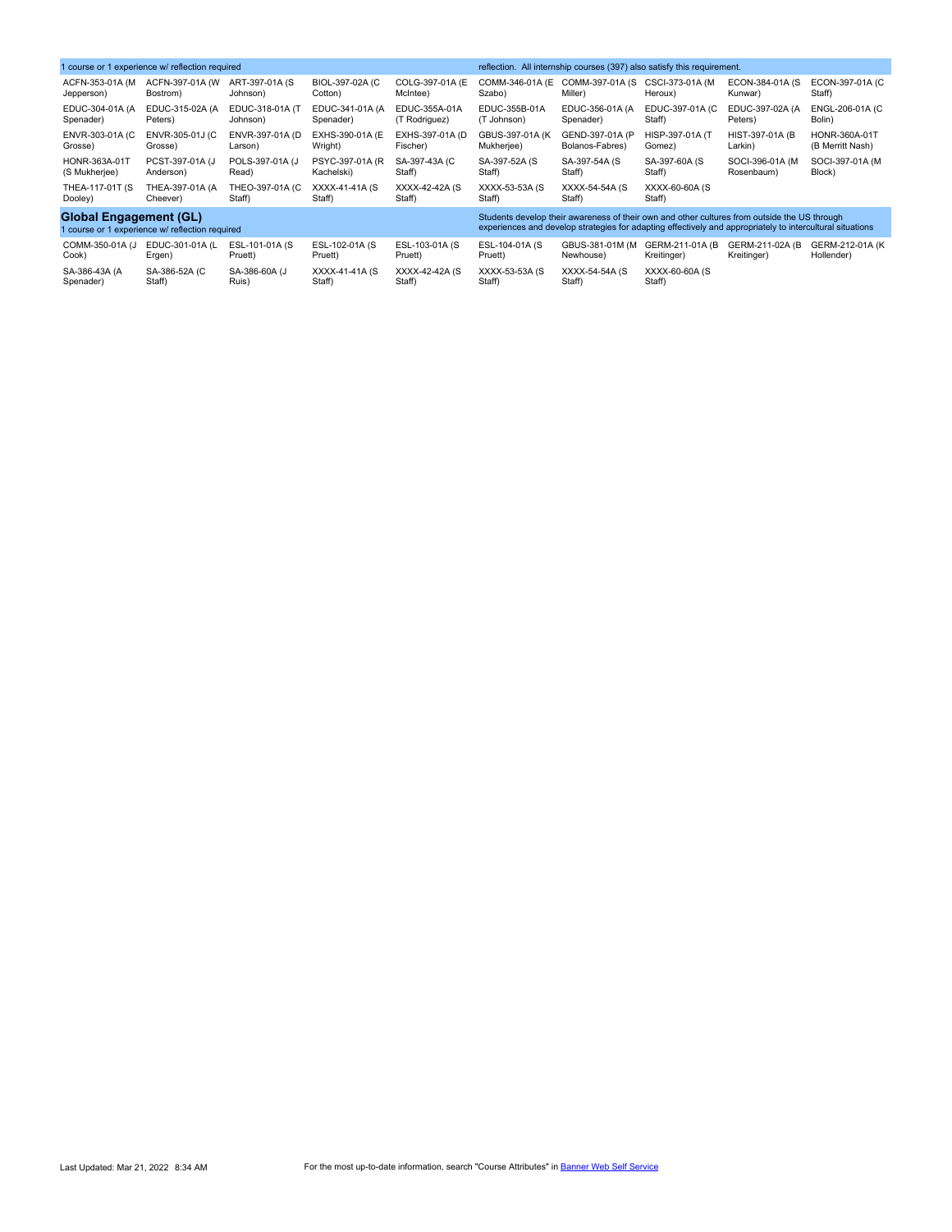| 1 course or 1 experience w/ reflection required |                              |                           |                           |                           | reflection. All internship courses (397) also satisfy this requirement.                                   |                           |                           |                         |                  |  |
|-------------------------------------------------|------------------------------|---------------------------|---------------------------|---------------------------|-----------------------------------------------------------------------------------------------------------|---------------------------|---------------------------|-------------------------|------------------|--|
| ACFN-353-01A (M                                 | ACFN-397-01A (W)             | ART-397-01A (S)           | BIOL-397-02A (C           | COLG-397-01A (E)          | COMM-346-01A (E                                                                                           | COMM-397-01A (S)          | CSCI-373-01A (M           | ECON-384-01A (S         | ECON-397-01A (C  |  |
| Jepperson)                                      | Bostrom)                     | Johnson)                  | Cotton)                   | McIntee)                  | Szabo)                                                                                                    | Miller)                   | Heroux)                   | Kunwar)                 | Staff)           |  |
| EDUC-304-01A (A                                 | EDUC-315-02A (A              | EDUC-318-01A (T           | EDUC-341-01A (A           | EDUC-355A-01A             | EDUC-355B-01A                                                                                             | EDUC-356-01A (A           | EDUC-397-01A (C           | EDUC-397-02A (A         | ENGL-206-01A (C  |  |
| Spenader)                                       | Peters)                      | Johnson)                  | Spenader)                 | (T Rodriguez)             | (T Johnson)                                                                                               | Spenader)                 | Staff)                    | Peters)                 | Bolin)           |  |
| ENVR-303-01A (C)                                | ENVR-305-01J (C              | ENVR-397-01A (D)          | EXHS-390-01A (E)          | EXHS-397-01A (D)          | GBUS-397-01A (K)                                                                                          | GEND-397-01A (P           | HISP-397-01A (T           | <b>HIST-397-01A (B)</b> | HONR-360A-01T    |  |
| Grosse)                                         | Grosse)                      | Larson)                   | Wright)                   | Fischer)                  | Mukherjee)                                                                                                | Bolanos-Fabres)           | Gomez)                    | Larkin)                 | (B Merritt Nash) |  |
| HONR-363A-01T                                   | PCST-397-01A (J              | POLS-397-01A (J           | PSYC-397-01A (R)          | SA-397-43A (C             | SA-397-52A (S)                                                                                            | SA-397-54A (S             | SA-397-60A (S)            | SOCI-396-01A (M)        | SOCI-397-01A (M  |  |
| (S Mukherjee)                                   | Anderson)                    | Read)                     | Kachelski)                | Staff)                    | Staff)                                                                                                    | Staff)                    | Staff)                    | Rosenbaum)              | Block)           |  |
| THEA-117-01T (S)<br>Dooley)                     | THEA-397-01A (A)<br>Cheever) | THEO-397-01A (C<br>Staff) | XXXX-41-41A (S<br>Staff)  | XXXX-42-42A (S)<br>Staff) | XXXX-53-53A (S)<br>Staff)                                                                                 | XXXX-54-54A (S)<br>Staff) | XXXX-60-60A (S)<br>Staff) |                         |                  |  |
| <b>Global Engagement (GL)</b>                   |                              |                           |                           |                           | Students develop their awareness of their own and other cultures from outside the US through              |                           |                           |                         |                  |  |
| 1 course or 1 experience w/ reflection required |                              |                           |                           |                           | experiences and develop strategies for adapting effectively and appropriately to intercultural situations |                           |                           |                         |                  |  |
| COMM-350-01A (J                                 | EDUC-301-01A (L              | ESL-101-01A (S)           | ESL-102-01A (S)           | ESL-103-01A (S            | ESL-104-01A (S)                                                                                           | GBUS-381-01M (M           | GERM-211-01A (B)          | GERM-211-02A (B)        | GERM-212-01A (K  |  |
| Cook)                                           | Ergen)                       | Pruett)                   | Pruett)                   | Pruett)                   | Pruett)                                                                                                   | Newhouse)                 | Kreitinger)               | Kreitinger)             | Hollender)       |  |
| SA-386-43A (A<br>Spenader)                      | SA-386-52A (C)<br>Staff)     | SA-386-60A (J<br>Ruis)    | XXXX-41-41A (S)<br>Staff) | XXXX-42-42A (S)<br>Staff) | XXXX-53-53A (S)<br>Staff)                                                                                 | XXXX-54-54A (S)<br>Staff) | XXXX-60-60A (S)<br>Staff) |                         |                  |  |